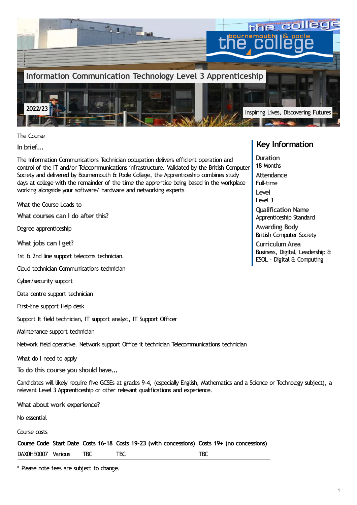

The Course

**In brief...**

The Information Communications Technician occupation delivers efficient operation and control of the IT and/or Telecommunications infrastructure. Validated by the British Computer Society and delivered by Bournemouth & Poole College, the Apprenticeship combines study days at college with the remainder of the time the apprentice being based in the workplace working alongside your software/ hardware and networking experts

What the Course Leads to

**What courses can I do after this?**

Degree apprenticeship

**What jobs can I get?**

1st & 2nd line support telecoms technician.

Cloud technician Communications technician

Cyber/security support

Data centre support technician

First-line support Help desk

Support It field technician, IT support analyst, IT Support Officer

Maintenance support technician

Network field operative. Network support Office it technician Telecommunications technician

What do I need to apply

**To do this course you should have...**

Candidates will likely require five GCSEs at grades 9-4, (especially English, Mathematics and a Science or Technology subject), a relevant Level 3 Apprenticeship or other relevant qualifications and experience.

**What about work experience?**

No essential

Course costs

**Course Code Start Date Costs 16-18 Costs 19-23 (with concessions) Costs 19+ (no concessions)**

DAX0HE0007 Various TBC TBC TBC TBC

\* Please note fees are subject to change.

# **Key Information**

**Duration** 18 Months **Attendance** Full-time **Level** Level 3 **Qualification Name** Apprenticeship Standard **Awarding Body** British Computer Society **CurriculumArea** Business, Digital, Leadership & ESOL - Digital & Computing